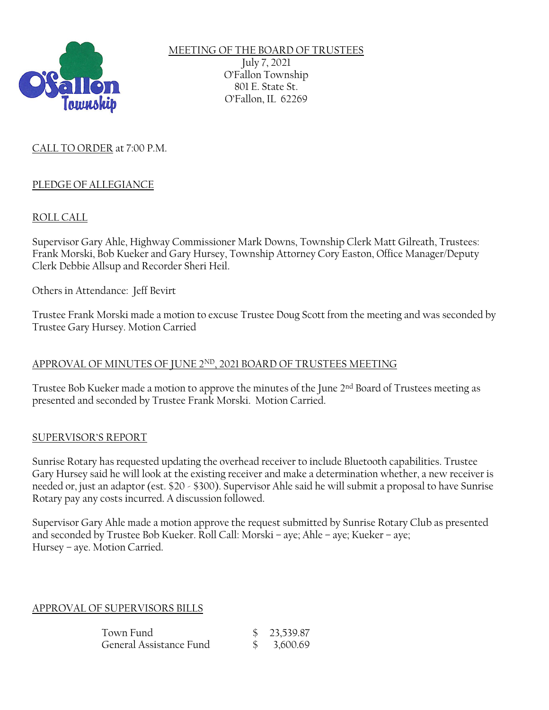

MEETING OF THE BOARD OF TRUSTEES July 7, 2021 O'Fallon Township 801 E. State St. O'Fallon, IL 62269

## CALL TO ORDER at 7:00 P.M.

#### PLEDGE OF ALLEGIANCE

#### ROLL CALL

Supervisor Gary Ahle, Highway Commissioner Mark Downs, Township Clerk Matt Gilreath, Trustees: Frank Morski, Bob Kueker and Gary Hursey, Township Attorney Cory Easton, Office Manager/Deputy Clerk Debbie Allsup and Recorder Sheri Heil.

Others in Attendance: Jeff Bevirt

Trustee Frank Morski made a motion to excuse Trustee Doug Scott from the meeting and was seconded by Trustee Gary Hursey. Motion Carried

#### APPROVAL OF MINUTES OF JUNE  $2^{ND}$ , 2021 BOARD OF TRUSTEES MEETING

Trustee Bob Kueker made a motion to approve the minutes of the June 2<sup>nd</sup> Board of Trustees meeting as presented and seconded by Trustee Frank Morski. Motion Carried.

#### SUPERVISOR'S REPORT

Sunrise Rotary has requested updating the overhead receiver to include Bluetooth capabilities. Trustee Gary Hursey said he will look at the existing receiver and make a determination whether, a new receiver is needed or, just an adaptor (est. \$20 - \$300). Supervisor Ahle said he will submit a proposal to have Sunrise Rotary pay any costs incurred. A discussion followed.

Supervisor Gary Ahle made a motion approve the request submitted by Sunrise Rotary Club as presented and seconded by Trustee Bob Kueker. Roll Call: Morski – aye; Ahle – aye; Kueker – aye; Hursey – aye. Motion Carried.

#### APPROVAL OF SUPERVISORS BILLS

| Town Fund               | \$23,539.87 |
|-------------------------|-------------|
| General Assistance Fund | \$3,600.69  |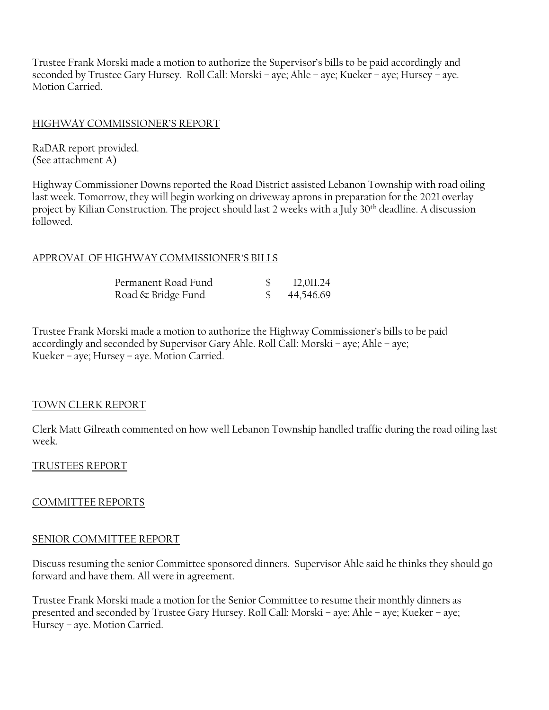Trustee Frank Morski made a motion to authorize the Supervisor's bills to be paid accordingly and seconded by Trustee Gary Hursey. Roll Call: Morski – aye; Ahle – aye; Kueker – aye; Hursey – aye. Motion Carried.

### HIGHWAY COMMISSIONER'S REPORT

RaDAR report provided. (See attachment A)

Highway Commissioner Downs reported the Road District assisted Lebanon Township with road oiling last week. Tomorrow, they will begin working on driveway aprons in preparation for the 2021 overlay project by Kilian Construction. The project should last 2 weeks with a July 30th deadline. A discussion followed.

### APPROVAL OF HIGHWAY COMMISSIONER'S BILLS

| Permanent Road Fund | 12,011.24 |
|---------------------|-----------|
| Road & Bridge Fund  | 44,546.69 |

Trustee Frank Morski made a motion to authorize the Highway Commissioner's bills to be paid accordingly and seconded by Supervisor Gary Ahle. Roll Call: Morski – aye; Ahle – aye; Kueker – aye; Hursey – aye. Motion Carried.

#### TOWN CLERK REPORT

Clerk Matt Gilreath commented on how well Lebanon Township handled traffic during the road oiling last week.

#### TRUSTEES REPORT

#### COMMITTEE REPORTS

#### SENIOR COMMITTEE REPORT

Discuss resuming the senior Committee sponsored dinners. Supervisor Ahle said he thinks they should go forward and have them. All were in agreement.

Trustee Frank Morski made a motion for the Senior Committee to resume their monthly dinners as presented and seconded by Trustee Gary Hursey. Roll Call: Morski – aye; Ahle – aye; Kueker – aye; Hursey – aye. Motion Carried.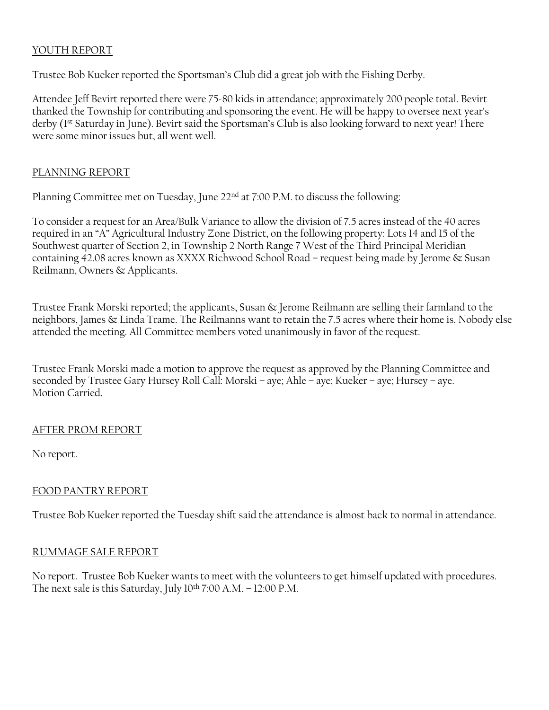## YOUTH REPORT

Trustee Bob Kueker reported the Sportsman's Club did a great job with the Fishing Derby.

Attendee Jeff Bevirt reported there were 75-80 kids in attendance; approximately 200 people total. Bevirt thanked the Township for contributing and sponsoring the event. He will be happy to oversee next year's derby (1st Saturday in June). Bevirt said the Sportsman's Club is also looking forward to next year! There were some minor issues but, all went well.

#### PLANNING REPORT

Planning Committee met on Tuesday, June 22nd at 7:00 P.M. to discuss the following:

To consider a request for an Area/Bulk Variance to allow the division of 7.5 acres instead of the 40 acres required in an "A" Agricultural Industry Zone District, on the following property: Lots 14 and 15 of the Southwest quarter of Section 2, in Township 2 North Range 7 West of the Third Principal Meridian containing 42.08 acres known as XXXX Richwood School Road – request being made by Jerome & Susan Reilmann, Owners & Applicants.

Trustee Frank Morski reported; the applicants, Susan & Jerome Reilmann are selling their farmland to the neighbors, James & Linda Trame. The Reilmanns want to retain the 7.5 acres where their home is. Nobody else attended the meeting. All Committee members voted unanimously in favor of the request.

Trustee Frank Morski made a motion to approve the request as approved by the Planning Committee and seconded by Trustee Gary Hursey Roll Call: Morski – aye; Ahle – aye; Kueker – aye; Hursey – aye. Motion Carried.

#### AFTER PROM REPORT

No report.

# FOOD PANTRY REPORT

Trustee Bob Kueker reported the Tuesday shift said the attendance is almost back to normal in attendance.

#### RUMMAGE SALE REPORT

No report. Trustee Bob Kueker wants to meet with the volunteers to get himself updated with procedures. The next sale is this Saturday, July 10th 7:00 A.M. – 12:00 P.M.